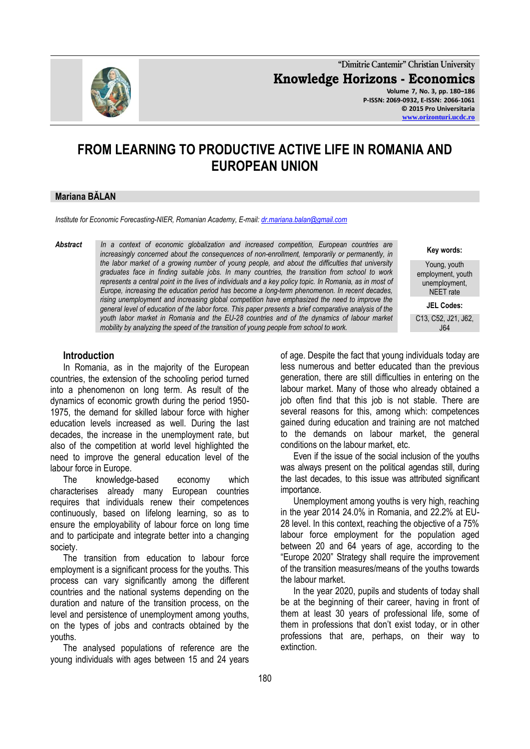

**"Dimitrie Cantemir" Christian University Knowledge Horizons - Economics Volume 7, No. 3, pp. 180–186 P-ISSN: 2069-0932, E-ISSN: 2066-1061 © 2015 Pro Universitaria [www.orizonturi.ucdc.ro](http://www.orizonturi.ucdc.ro/)**

# **FROM LEARNING TO PRODUCTIVE ACTIVE LIFE IN ROMANIA AND EUROPEAN UNION**

#### **Mariana BĂLAN**

*Institute for Economic Forecasting-NIER, Romanian Academy, E-mail[: dr.mariana.balan@gmail.com](mailto:dr.mariana.balan@gmail.com)*

*Abstract In a context of economic globalization and increased competition, European countries are increasingly concerned about the consequences of non-enrollment, temporarily or permanently, in the labor market of a growing number of young people, and about the difficulties that university graduates face in finding suitable jobs. In many countries, the transition from school to work represents a central point in the lives of individuals and a key policy topic. In Romania, as in most of Europe, increasing the education period has become a long-term phenomenon. In recent decades, rising unemployment and increasing global competition have emphasized the need to improve the general level of education of the labor force. This paper presents a brief comparative analysis of the youth labor market in Romania and the EU-28 countries and of the dynamics of labour market mobility by analyzing the speed of the transition of young people from school to work.*

#### **Introduction**

In Romania, as in the majority of the European countries, the extension of the schooling period turned into a phenomenon on long term. As result of the dynamics of economic growth during the period 1950- 1975, the demand for skilled labour force with higher education levels increased as well. During the last decades, the increase in the unemployment rate, but also of the competition at world level highlighted the need to improve the general education level of the labour force in Europe.

The knowledge-based economy which characterises already many European countries requires that individuals renew their competences continuously, based on lifelong learning, so as to ensure the employability of labour force on long time and to participate and integrate better into a changing society.

The transition from education to labour force employment is a significant process for the youths. This process can vary significantly among the different countries and the national systems depending on the duration and nature of the transition process, on the level and persistence of unemployment among youths, on the types of jobs and contracts obtained by the youths.

The analysed populations of reference are the young individuals with ages between 15 and 24 years

of age. Despite the fact that young individuals today are less numerous and better educated than the previous generation, there are still difficulties in entering on the labour market. Many of those who already obtained a job often find that this job is not stable. There are several reasons for this, among which: competences gained during education and training are not matched to the demands on labour market, the general conditions on the labour market, etc.

Even if the issue of the social inclusion of the youths was always present on the political agendas still, during the last decades, to this issue was attributed significant importance.

Unemployment among youths is very high, reaching in the year 2014 24.0% in Romania, and 22.2% at EU-28 level. In this context, reaching the objective of a 75% labour force employment for the population aged between 20 and 64 years of age, according to the "Europe 2020" Strategy shall require the improvement of the transition measures/means of the youths towards the labour market.

In the year 2020, pupils and students of today shall be at the beginning of their career, having in front of them at least 30 years of professional life, some of them in professions that don't exist today, or in other professions that are, perhaps, on their way to extinction.

**Key words:**

Young, youth employment, youth unemployment, NEET rate

**JEL Codes:**

C13, C52, J21, J62, J64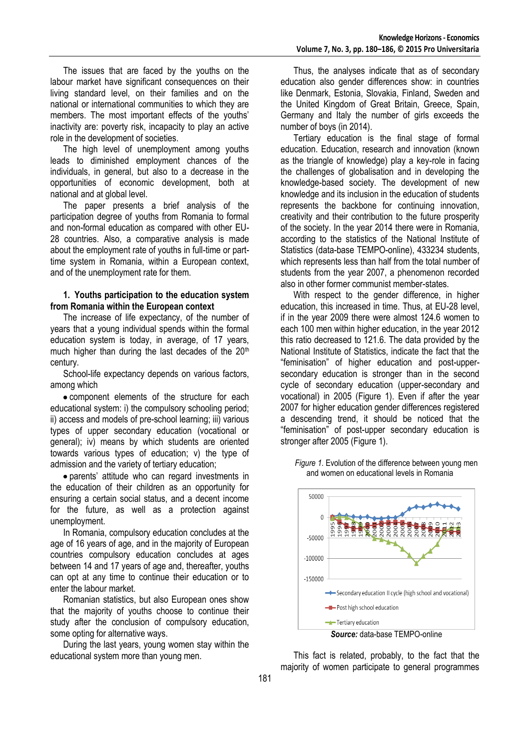The issues that are faced by the youths on the labour market have significant consequences on their living standard level, on their families and on the national or international communities to which they are members. The most important effects of the youths' inactivity are: poverty risk, incapacity to play an active role in the development of societies.

The high level of unemployment among youths leads to diminished employment chances of the individuals, in general, but also to a decrease in the opportunities of economic development, both at national and at global level.

The paper presents a brief analysis of the participation degree of youths from Romania to formal and non-formal education as compared with other EU-28 countries. Also, a comparative analysis is made about the employment rate of youths in full-time or parttime system in Romania, within a European context, and of the unemployment rate for them.

#### **1. Youths participation to the education system from Romania within the European context**

The increase of life expectancy, of the number of years that a young individual spends within the formal education system is today, in average, of 17 years, much higher than during the last decades of the  $20<sup>th</sup>$ century.

School-life expectancy depends on various factors, among which

component elements of the structure for each educational system: i) the compulsory schooling period; ii) access and models of pre-school learning; iii) various types of upper secondary education (vocational or general); iv) means by which students are oriented towards various types of education; v) the type of admission and the variety of tertiary education;

parents' attitude who can regard investments in the education of their children as an opportunity for ensuring a certain social status, and a decent income for the future, as well as a protection against unemployment.

In Romania, compulsory education concludes at the age of 16 years of age, and in the majority of European countries compulsory education concludes at ages between 14 and 17 years of age and, thereafter, youths can opt at any time to continue their education or to enter the labour market.

Romanian statistics, but also European ones show that the majority of youths choose to continue their study after the conclusion of compulsory education, some opting for alternative ways.

During the last years, young women stay within the educational system more than young men.

Thus, the analyses indicate that as of secondary education also gender differences show: in countries like Denmark, Estonia, Slovakia, Finland, Sweden and the United Kingdom of Great Britain, Greece, Spain, Germany and Italy the number of girls exceeds the number of boys (in 2014).

Tertiary education is the final stage of formal education. Education, research and innovation (known as the triangle of knowledge) play a key-role in facing the challenges of globalisation and in developing the knowledge-based society. The development of new knowledge and its inclusion in the education of students represents the backbone for continuing innovation, creativity and their contribution to the future prosperity of the society. In the year 2014 there were in Romania, according to the statistics of the National Institute of Statistics (data-base TEMPO-online), 433234 students, which represents less than half from the total number of students from the year 2007, a phenomenon recorded also in other former communist member-states.

With respect to the gender difference, in higher education, this increased in time. Thus, at EU-28 level, if in the year 2009 there were almost 124.6 women to each 100 men within higher education, in the year 2012 this ratio decreased to 121.6. The data provided by the National Institute of Statistics, indicate the fact that the "feminisation" of higher education and post-uppersecondary education is stronger than in the second cycle of secondary education (upper-secondary and vocational) in 2005 (Figure 1). Even if after the year 2007 for higher education gender differences registered a descending trend, it should be noticed that the "feminisation" of post-upper secondary education is stronger after 2005 (Figure 1).

*Figure 1.* Evolution of the difference between young men and women on educational levels in Romania



This fact is related, probably, to the fact that the majority of women participate to general programmes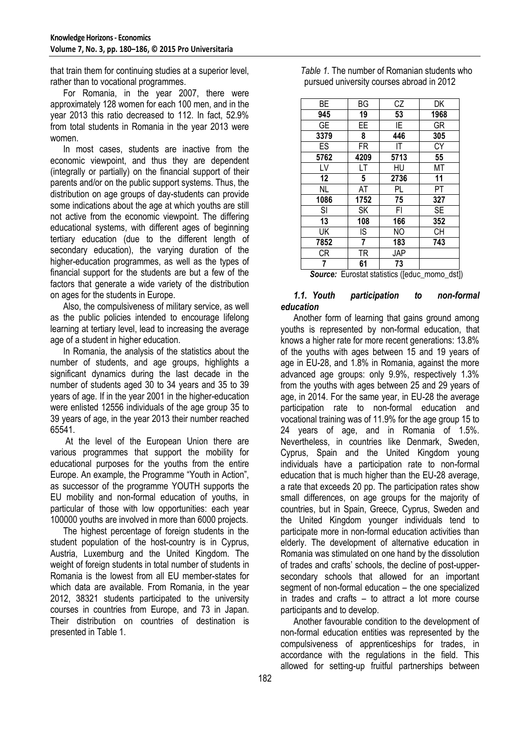that train them for continuing studies at a superior level, rather than to vocational programmes.

For Romania, in the year 2007, there were approximately 128 women for each 100 men, and in the year 2013 this ratio decreased to 112. In fact, 52.9% from total students in Romania in the year 2013 were women.

In most cases, students are inactive from the economic viewpoint, and thus they are dependent (integrally or partially) on the financial support of their parents and/or on the public support systems. Thus, the distribution on age groups of day-students can provide some indications about the age at which youths are still not active from the economic viewpoint. The differing educational systems, with different ages of beginning tertiary education (due to the different length of secondary education), the varying duration of the higher-education programmes, as well as the types of financial support for the students are but a few of the factors that generate a wide variety of the distribution on ages for the students in Europe.

Also, the compulsiveness of military service, as well as the public policies intended to encourage lifelong learning at tertiary level, lead to increasing the average age of a student in higher education.

In Romania, the analysis of the statistics about the number of students, and age groups, highlights a significant dynamics during the last decade in the number of students aged 30 to 34 years and 35 to 39 years of age. If in the year 2001 in the higher-education were enlisted 12556 individuals of the age group 35 to 39 years of age, in the year 2013 their number reached 65541.

At the level of the European Union there are various programmes that support the mobility for educational purposes for the youths from the entire Europe. An example, the Programme "Youth in Action", as successor of the programme YOUTH supports the EU mobility and non-formal education of youths, in particular of those with low opportunities: each year 100000 youths are involved in more than 6000 projects.

The highest percentage of foreign students in the student population of the host-country is in Cyprus, Austria, Luxemburg and the United Kingdom. The weight of foreign students in total number of students in Romania is the lowest from all EU member-states for which data are available. From Romania, in the year 2012, 38321 students participated to the university courses in countries from Europe, and 73 in Japan. Their distribution on countries of destination is presented in Table 1.

| ВE        | ΒG   | СZ   | DK        |
|-----------|------|------|-----------|
| 945       | 19   | 53   | 1968      |
| <b>GE</b> | EE   | ΙE   | GR        |
| 3379      | 8    | 446  | 305       |
| ES        | FR   | ΙT   | СY        |
| 5762      | 4209 | 5713 | 55        |
| LV        | LT   | HU   | МT        |
| 12        | 5    | 2736 | 11        |
| NL        | AT   | PL   | PT        |
| 1086      | 1752 | 75   | 327       |
| SI        | SΚ   | FI   | <b>SE</b> |
| 13        | 108  | 166  | 352       |
| UK        | IS   | NO   | <b>CH</b> |
| 7852      | 7    | 183  | 743       |
| СR        | TR   | JAP  |           |
|           | 61   | 73   |           |

*Table 1.* The number of Romanian students who pursued university courses abroad in 2012

**Source:** Eurostat statistics ([educ\_momo\_dst])

#### *1.1. Youth participation to non-formal education*

Another form of learning that gains ground among youths is represented by non-formal education, that knows a higher rate for more recent generations: 13.8% of the youths with ages between 15 and 19 years of age in EU-28, and 1.8% in Romania, against the more advanced age groups: only 9.9%, respectively 1.3% from the youths with ages between 25 and 29 years of age, in 2014. For the same year, in EU-28 the average participation rate to non-formal education and vocational training was of 11.9% for the age group 15 to 24 years of age, and in Romania of 1.5%. Nevertheless, in countries like Denmark, Sweden, Cyprus, Spain and the United Kingdom young individuals have a participation rate to non-formal education that is much higher than the EU-28 average, a rate that exceeds 20 pp. The participation rates show small differences, on age groups for the majority of countries, but in Spain, Greece, Cyprus, Sweden and the United Kingdom younger individuals tend to participate more in non-formal education activities than elderly. The development of alternative education in Romania was stimulated on one hand by the dissolution of trades and crafts' schools, the decline of post-uppersecondary schools that allowed for an important segment of non-formal education – the one specialized in trades and crafts – to attract a lot more course participants and to develop.

Another favourable condition to the development of non-formal education entities was represented by the compulsiveness of apprenticeships for trades, in accordance with the regulations in the field. This allowed for setting-up fruitful partnerships between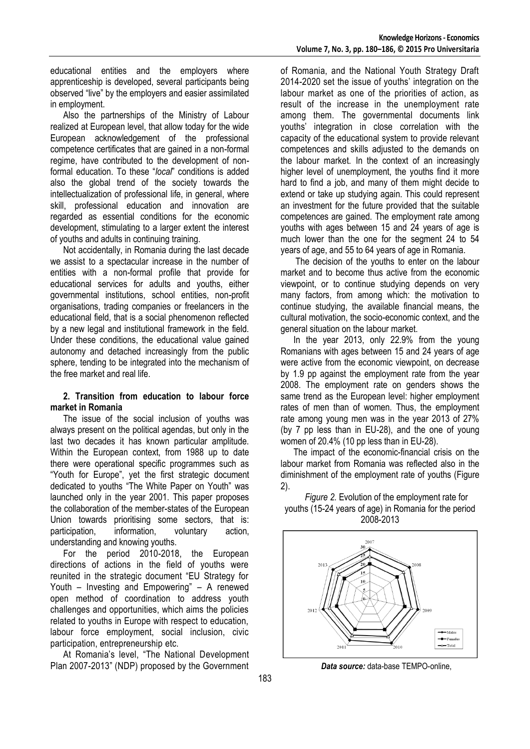educational entities and the employers where apprenticeship is developed, several participants being observed "live" by the employers and easier assimilated in employment.

Also the partnerships of the Ministry of Labour realized at European level, that allow today for the wide European acknowledgement of the professional competence certificates that are gained in a non-formal regime, have contributed to the development of nonformal education. To these "*local*" conditions is added also the global trend of the society towards the intellectualization of professional life, in general, where skill, professional education and innovation are regarded as essential conditions for the economic development, stimulating to a larger extent the interest of youths and adults in continuing training.

Not accidentally, in Romania during the last decade we assist to a spectacular increase in the number of entities with a non-formal profile that provide for educational services for adults and youths, either governmental institutions, school entities, non-profit organisations, trading companies or freelancers in the educational field, that is a social phenomenon reflected by a new legal and institutional framework in the field. Under these conditions, the educational value gained autonomy and detached increasingly from the public sphere, tending to be integrated into the mechanism of the free market and real life.

### **2. Transition from education to labour force market in Romania**

The issue of the social inclusion of youths was always present on the political agendas, but only in the last two decades it has known particular amplitude. Within the European context, from 1988 up to date there were operational specific programmes such as "Youth for Europe", yet the first strategic document dedicated to youths "The White Paper on Youth" was launched only in the year 2001. This paper proposes the collaboration of the member-states of the European Union towards prioritising some sectors, that is: participation, information, voluntary action, understanding and knowing youths.

For the period 2010-2018, the European directions of actions in the field of youths were reunited in the strategic document "EU Strategy for Youth – Investing and Empowering" – A renewed open method of coordination to address youth challenges and opportunities, which aims the policies related to youths in Europe with respect to education, labour force employment, social inclusion, civic participation, entrepreneurship etc.

At Romania's level, "The National Development Plan 2007-2013" (NDP) proposed by the Government of Romania, and the National Youth Strategy Draft 2014-2020 set the issue of youths' integration on the labour market as one of the priorities of action, as result of the increase in the unemployment rate among them. The governmental documents link youths' integration in close correlation with the capacity of the educational system to provide relevant competences and skills adjusted to the demands on the labour market. In the context of an increasingly higher level of unemployment, the youths find it more hard to find a job, and many of them might decide to extend or take up studying again. This could represent an investment for the future provided that the suitable competences are gained. The employment rate among youths with ages between 15 and 24 years of age is much lower than the one for the segment 24 to 54 years of age, and 55 to 64 years of age in Romania.

The decision of the youths to enter on the labour market and to become thus active from the economic viewpoint, or to continue studying depends on very many factors, from among which: the motivation to continue studying, the available financial means, the cultural motivation, the socio-economic context, and the general situation on the labour market.

In the year 2013, only 22.9% from the young Romanians with ages between 15 and 24 years of age were active from the economic viewpoint, on decrease by 1.9 pp against the employment rate from the year 2008. The employment rate on genders shows the same trend as the European level: higher employment rates of men than of women. Thus, the employment rate among young men was in the year 2013 of 27% (by 7 pp less than in EU-28), and the one of young women of 20.4% (10 pp less than in EU-28).

The impact of the economic-financial crisis on the labour market from Romania was reflected also in the diminishment of the employment rate of youths (Figure 2).





*Data source:* data-base TEMPO-online,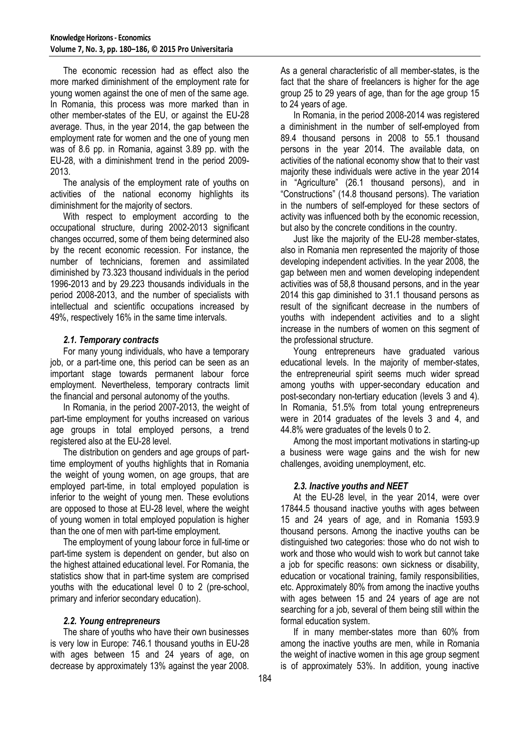The economic recession had as effect also the more marked diminishment of the employment rate for young women against the one of men of the same age. In Romania, this process was more marked than in other member-states of the EU, or against the EU-28 average. Thus, in the year 2014, the gap between the employment rate for women and the one of young men was of 8.6 pp. in Romania, against 3.89 pp. with the EU-28, with a diminishment trend in the period 2009- 2013.

The analysis of the employment rate of youths on activities of the national economy highlights its diminishment for the majority of sectors.

With respect to employment according to the occupational structure, during 2002-2013 significant changes occurred, some of them being determined also by the recent economic recession. For instance, the number of technicians, foremen and assimilated diminished by 73.323 thousand individuals in the period 1996-2013 and by 29.223 thousands individuals in the period 2008-2013, and the number of specialists with intellectual and scientific occupations increased by 49%, respectively 16% in the same time intervals.

## *2.1. Temporary contracts*

For many young individuals, who have a temporary job, or a part-time one, this period can be seen as an important stage towards permanent labour force employment. Nevertheless, temporary contracts limit the financial and personal autonomy of the youths.

In Romania, in the period 2007-2013, the weight of part-time employment for youths increased on various age groups in total employed persons, a trend registered also at the EU-28 level.

The distribution on genders and age groups of parttime employment of youths highlights that in Romania the weight of young women, on age groups, that are employed part-time, in total employed population is inferior to the weight of young men. These evolutions are opposed to those at EU-28 level, where the weight of young women in total employed population is higher than the one of men with part-time employment.

The employment of young labour force in full-time or part-time system is dependent on gender, but also on the highest attained educational level. For Romania, the statistics show that in part-time system are comprised youths with the educational level 0 to 2 (pre-school, primary and inferior secondary education).

## *2.2. Young entrepreneurs*

The share of youths who have their own businesses is very low in Europe: 746.1 thousand youths in EU-28 with ages between 15 and 24 years of age, on decrease by approximately 13% against the year 2008.

As a general characteristic of all member-states, is the fact that the share of freelancers is higher for the age group 25 to 29 years of age, than for the age group 15 to 24 years of age.

In Romania, in the period 2008-2014 was registered a diminishment in the number of self-employed from 89.4 thousand persons in 2008 to 55.1 thousand persons in the year 2014. The available data, on activities of the national economy show that to their vast majority these individuals were active in the year 2014 in "Agriculture" (26.1 thousand persons), and in "Constructions" (14.8 thousand persons). The variation in the numbers of self-employed for these sectors of activity was influenced both by the economic recession, but also by the concrete conditions in the country.

Just like the majority of the EU-28 member-states, also in Romania men represented the majority of those developing independent activities. In the year 2008, the gap between men and women developing independent activities was of 58,8 thousand persons, and in the year 2014 this gap diminished to 31.1 thousand persons as result of the significant decrease in the numbers of youths with independent activities and to a slight increase in the numbers of women on this segment of the professional structure.

Young entrepreneurs have graduated various educational levels. In the majority of member-states, the entrepreneurial spirit seems much wider spread among youths with upper-secondary education and post-secondary non-tertiary education (levels 3 and 4). In Romania, 51.5% from total young entrepreneurs were in 2014 graduates of the levels 3 and 4, and 44.8% were graduates of the levels 0 to 2.

Among the most important motivations in starting-up a business were wage gains and the wish for new challenges, avoiding unemployment, etc.

## *2.3. Inactive youths and NEET*

At the EU-28 level, in the year 2014, were over 17844.5 thousand inactive youths with ages between 15 and 24 years of age, and in Romania 1593.9 thousand persons. Among the inactive youths can be distinguished two categories: those who do not wish to work and those who would wish to work but cannot take a job for specific reasons: own sickness or disability, education or vocational training, family responsibilities, etc. Approximately 80% from among the inactive youths with ages between 15 and 24 years of age are not searching for a job, several of them being still within the formal education system.

If in many member-states more than 60% from among the inactive youths are men, while in Romania the weight of inactive women in this age group segment is of approximately 53%. In addition, young inactive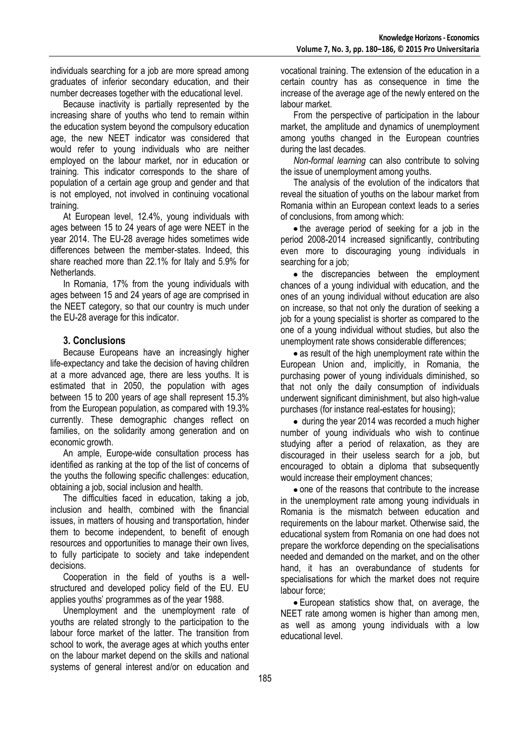individuals searching for a job are more spread among graduates of inferior secondary education, and their number decreases together with the educational level.

Because inactivity is partially represented by the increasing share of youths who tend to remain within the education system beyond the compulsory education age, the new NEET indicator was considered that would refer to young individuals who are neither employed on the labour market, nor in education or training. This indicator corresponds to the share of population of a certain age group and gender and that is not employed, not involved in continuing vocational training.

At European level, 12.4%, young individuals with ages between 15 to 24 years of age were NEET in the year 2014. The EU-28 average hides sometimes wide differences between the member-states. Indeed, this share reached more than 22.1% for Italy and 5.9% for Netherlands.

In Romania, 17% from the young individuals with ages between 15 and 24 years of age are comprised in the NEET category, so that our country is much under the EU-28 average for this indicator.

## **3. Conclusions**

Because Europeans have an increasingly higher life-expectancy and take the decision of having children at a more advanced age, there are less youths. It is estimated that in 2050, the population with ages between 15 to 200 years of age shall represent 15.3% from the European population, as compared with 19.3% currently. These demographic changes reflect on families, on the solidarity among generation and on economic growth.

An ample, Europe-wide consultation process has identified as ranking at the top of the list of concerns of the youths the following specific challenges: education, obtaining a job, social inclusion and health.

The difficulties faced in education, taking a job, inclusion and health, combined with the financial issues, in matters of housing and transportation, hinder them to become independent, to benefit of enough resources and opportunities to manage their own lives, to fully participate to society and take independent decisions.

Cooperation in the field of youths is a wellstructured and developed policy field of the EU. EU applies youths' programmes as of the year 1988.

Unemployment and the unemployment rate of youths are related strongly to the participation to the labour force market of the latter. The transition from school to work, the average ages at which youths enter on the labour market depend on the skills and national systems of general interest and/or on education and

vocational training. The extension of the education in a certain country has as consequence in time the increase of the average age of the newly entered on the labour market.

From the perspective of participation in the labour market, the amplitude and dynamics of unemployment among youths changed in the European countries during the last decades.

*Non-formal learning* can also contribute to solving the issue of unemployment among youths.

The analysis of the evolution of the indicators that reveal the situation of youths on the labour market from Romania within an European context leads to a series of conclusions, from among which:

• the average period of seeking for a job in the period 2008-2014 increased significantly, contributing even more to discouraging young individuals in searching for a job;

• the discrepancies between the employment chances of a young individual with education, and the ones of an young individual without education are also on increase, so that not only the duration of seeking a job for a young specialist is shorter as compared to the one of a young individual without studies, but also the unemployment rate shows considerable differences;

• as result of the high unemployment rate within the European Union and, implicitly, in Romania, the purchasing power of young individuals diminished, so that not only the daily consumption of individuals underwent significant diminishment, but also high-value purchases (for instance real-estates for housing);

• during the year 2014 was recorded a much higher number of young individuals who wish to continue studying after a period of relaxation, as they are discouraged in their useless search for a job, but encouraged to obtain a diploma that subsequently would increase their employment chances;

• one of the reasons that contribute to the increase in the unemployment rate among young individuals in Romania is the mismatch between education and requirements on the labour market. Otherwise said, the educational system from Romania on one had does not prepare the workforce depending on the specialisations needed and demanded on the market, and on the other hand, it has an overabundance of students for specialisations for which the market does not require labour force;

European statistics show that, on average, the NEET rate among women is higher than among men, as well as among young individuals with a low educational level.